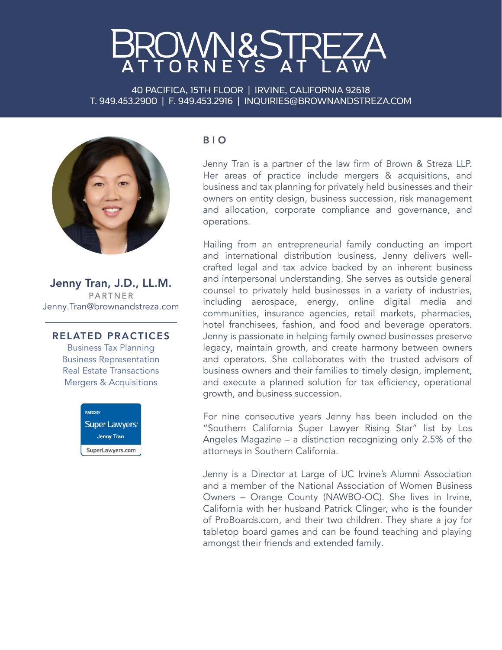# MN&STF

40 PACIFICA, 15TH FLOOR | IRVINE, CALIFORNIA 92618 T. 949.453.2900 | F. 949.453.2916 | INQUIRIES@BROWNANDSTREZA.COM



Jenny Tran, J.D., LL.M. PARTNER Jenny.Tran@brownandstreza.com

RELATED PRACTICES Business Tax Planning Business Representation Real Estate Transactions Mergers & Acquisitions



### B I O

Jenny Tran is a partner of the law firm of Brown & Streza LLP. Her areas of practice include mergers & acquisitions, and business and tax planning for privately held businesses and their owners on entity design, business succession, risk management and allocation, corporate compliance and governance, and operations.

Hailing from an entrepreneurial family conducting an import and international distribution business, Jenny delivers wellcrafted legal and tax advice backed by an inherent business and interpersonal understanding. She serves as outside general counsel to privately held businesses in a variety of industries, including aerospace, energy, online digital media and communities, insurance agencies, retail markets, pharmacies, hotel franchisees, fashion, and food and beverage operators. Jenny is passionate in helping family owned businesses preserve legacy, maintain growth, and create harmony between owners and operators. She collaborates with the trusted advisors of business owners and their families to timely design, implement, and execute a planned solution for tax efficiency, operational growth, and business succession.

For nine consecutive years Jenny has been included on the "Southern California Super Lawyer Rising Star" list by Los Angeles Magazine – a distinction recognizing only 2.5% of the attorneys in Southern California.

Jenny is a Director at Large of UC Irvine's Alumni Association and a member of the National Association of Women Business Owners – Orange County (NAWBO-OC). She lives in Irvine, California with her husband Patrick Clinger, who is the founder of ProBoards.com, and their two children. They share a joy for tabletop board games and can be found teaching and playing amongst their friends and extended family.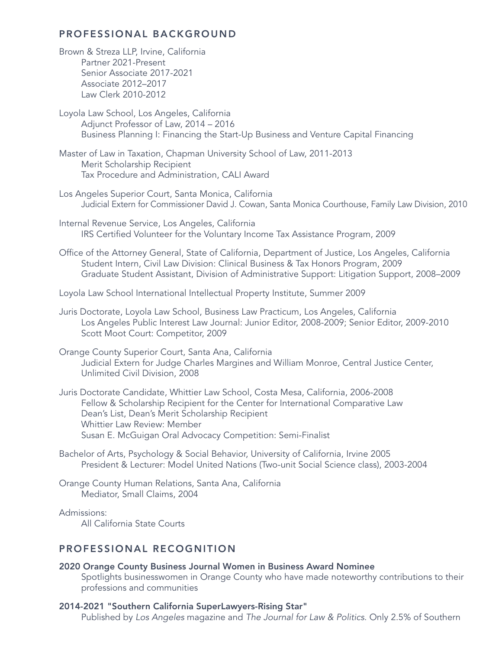# PROFESSIONAL BACKGROUND

- Brown & Streza LLP, Irvine, California Partner 2021-Present Senior Associate 2017-2021 Associate 2012–2017 Law Clerk 2010-2012
- Loyola Law School, Los Angeles, California Adjunct Professor of Law, 2014 – 2016 Business Planning I: Financing the Start-Up Business and Venture Capital Financing
- Master of Law in Taxation, Chapman University School of Law, 2011-2013 Merit Scholarship Recipient Tax Procedure and Administration, CALI Award
- Los Angeles Superior Court, Santa Monica, California Judicial Extern for Commissioner David J. Cowan, Santa Monica Courthouse, Family Law Division, 2010
- Internal Revenue Service, Los Angeles, California IRS Certified Volunteer for the Voluntary Income Tax Assistance Program, 2009
- Office of the Attorney General, State of California, Department of Justice, Los Angeles, California Student Intern, Civil Law Division: Clinical Business & Tax Honors Program, 2009 Graduate Student Assistant, Division of Administrative Support: Litigation Support, 2008–2009

Loyola Law School International Intellectual Property Institute, Summer 2009

- Juris Doctorate, Loyola Law School, Business Law Practicum, Los Angeles, California Los Angeles Public Interest Law Journal: Junior Editor, 2008-2009; Senior Editor, 2009-2010 Scott Moot Court: Competitor, 2009
- Orange County Superior Court, Santa Ana, California Judicial Extern for Judge Charles Margines and William Monroe, Central Justice Center, Unlimited Civil Division, 2008

Juris Doctorate Candidate, Whittier Law School, Costa Mesa, California, 2006-2008 Fellow & Scholarship Recipient for the Center for International Comparative Law Dean's List, Dean's Merit Scholarship Recipient Whittier Law Review: Member Susan E. McGuigan Oral Advocacy Competition: Semi-Finalist

Bachelor of Arts, Psychology & Social Behavior, University of California, Irvine 2005 President & Lecturer: Model United Nations (Two-unit Social Science class), 2003-2004

Orange County Human Relations, Santa Ana, California Mediator, Small Claims, 2004

Admissions:

All California State Courts

## PROFESSIONAL RECOGNITION

### 2020 Orange County Business Journal Women in Business Award Nominee

Spotlights businesswomen in Orange County who have made noteworthy contributions to their professions and communities

### 2014-2021 "Southern California SuperLawyers-Rising Star"

Published by *Los Angeles* magazine and *The Journal for Law & Politics*. Only 2.5% of Southern